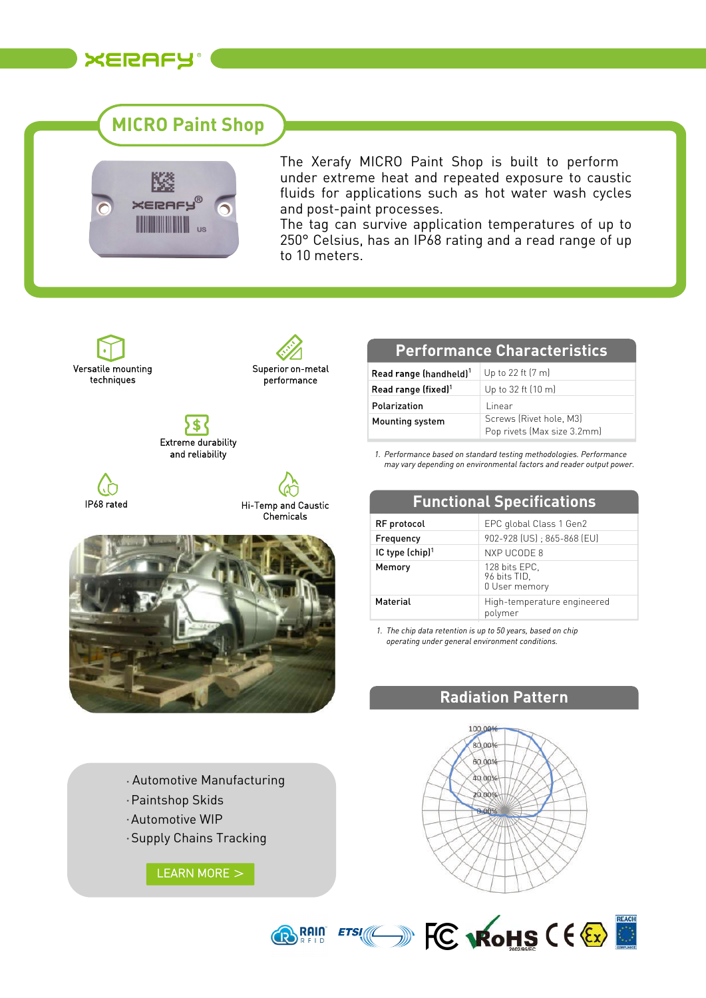

# **MICRO Paint Shop**



The Xerafy MICRO Paint Shop is built to perform under extreme heat and repeated exposure to caustic fluids for applications such as hot water wash cycles and post-paint processes.

The tag can survive application temperatures of up to 250° Celsius, has an IP68 rating and a read range of up to 10 meters.







IP68 rated





#### **Performance Characteristics**

| Read range (handheld) <sup>1</sup> | Up to 22 ft (7 m)                                      |
|------------------------------------|--------------------------------------------------------|
| Read range (fixed) <sup>1</sup>    | Up to 32 ft (10 m)                                     |
| Polarization                       | Linear                                                 |
| Mounting system                    | Screws (Rivet hole, M3)<br>Pop rivets (Max size 3.2mm) |

*Performance based on standard testing methodologies. Performance 1. may vary depending on environmental factors and reader output power.*

**Functional Specifications**

| <b>I GULLINIIGI SPECIHLANDIIS</b> |                                                |  |
|-----------------------------------|------------------------------------------------|--|
| RF protocol                       | EPC global Class 1 Gen2                        |  |
| Frequency                         | 902-928 (US); 865-868 (EU)                     |  |
| IC type $[chip]$ <sup>1</sup>     | NXP UCODE 8                                    |  |
| Memory                            | 128 bits EPC.<br>96 bits TID,<br>0 User memory |  |
| Material                          | High-temperature engineered<br>polymer         |  |

*The chip data retention is up to 50 years, based on chip 1. operating under general environment conditions.*

### **Radiation Pattern**

- Automotive Manufacturing
- Paintshop Skids
- Automotive WIP
- Supply Chains Tracking

[LEARN MORE](https://www.xerafy.com/micro-series?utm_source=Datasheet&utm_campaign=Datasheet) >